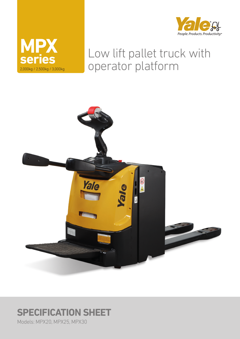



# Low lift pallet truck with operator platform



# **SPECIFICATION SHEET**

Models: MPX20, MPX25, MPX30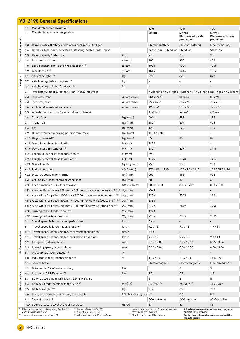|                     |            | <b>VDI 2198 General Specifications</b>                                                                                                                                                                                                     |                            |                                                                                                         |                                                                                                                                      |                                         |  |  |  |  |
|---------------------|------------|--------------------------------------------------------------------------------------------------------------------------------------------------------------------------------------------------------------------------------------------|----------------------------|---------------------------------------------------------------------------------------------------------|--------------------------------------------------------------------------------------------------------------------------------------|-----------------------------------------|--|--|--|--|
|                     | 1.1<br>1.2 | Manufacturer (abbreviation)<br>Manufacturer's type designation                                                                                                                                                                             |                            | Yale<br><b>MP20X</b>                                                                                    | Yale<br><b>MP20X</b>                                                                                                                 | Yale<br><b>MP20X</b>                    |  |  |  |  |
| Distinguishing mark |            |                                                                                                                                                                                                                                            |                            |                                                                                                         | <b>Platform with side</b><br>protection                                                                                              | <b>Platform with rear</b><br>protection |  |  |  |  |
|                     | 1.3        | Drive: electric (battery or mains), diesel, petrol, fuel gas                                                                                                                                                                               |                            | Electric (battery)                                                                                      | Electric (battery)                                                                                                                   | Electric (battery)                      |  |  |  |  |
|                     | 1.4        | Operator type: hand, pedestrian, standing, seated, order-picker                                                                                                                                                                            |                            | Pedestrian / Stand-on                                                                                   | Stand-on                                                                                                                             | Stand-on                                |  |  |  |  |
|                     | 1.5        | Rated capacity/Rated load                                                                                                                                                                                                                  | Q(t)                       | 2.0                                                                                                     | 2.0                                                                                                                                  | 2.0                                     |  |  |  |  |
|                     | 1.6        | Load centre distance                                                                                                                                                                                                                       | $c$ (mm)                   | 600                                                                                                     | 600                                                                                                                                  | 600                                     |  |  |  |  |
|                     | 1.8        | Load distance, centre of drive axle to fork <sup>(5)</sup>                                                                                                                                                                                 | $x$ (mm)                   | 1005                                                                                                    | 1005                                                                                                                                 | 1005                                    |  |  |  |  |
|                     | 1.9        | Wheelbase (4) (5)                                                                                                                                                                                                                          | $y$ (mm)                   | 1516                                                                                                    | 1516                                                                                                                                 | 1516                                    |  |  |  |  |
|                     | 2.1        | Service weight <sup>(2)(4)</sup>                                                                                                                                                                                                           | kg                         | 678                                                                                                     | 822                                                                                                                                  | 822                                     |  |  |  |  |
| Weights             | 2.2        | Axle loading, laden front/rear <sup>(4)</sup>                                                                                                                                                                                              | kg                         |                                                                                                         |                                                                                                                                      |                                         |  |  |  |  |
|                     | 2.3        | Axle loading, unladen front/rear <sup>(4)</sup>                                                                                                                                                                                            | kg                         |                                                                                                         |                                                                                                                                      |                                         |  |  |  |  |
|                     | 3.1        | Tyres: polyurethane, topthane, NDIIThane, front/rear                                                                                                                                                                                       |                            | NDIIThane / NDIIThane NDIIThane / NDIIThane NDIIThane / NDIIThane                                       |                                                                                                                                      |                                         |  |  |  |  |
|                     | 3.2        | Tyre size, front                                                                                                                                                                                                                           | $\varnothing$ (mm x mm)    | 254 x 90 (6)                                                                                            | 85 x 94                                                                                                                              | 85 x 94                                 |  |  |  |  |
|                     | 3.3        | Tyre size, rear                                                                                                                                                                                                                            | ø (mm x mm)                | 85 x 94 (6)                                                                                             | 254 x 90                                                                                                                             | 254 x 90                                |  |  |  |  |
| Tyres/chassis       | 3.4        | Additional wheels (dimensions)                                                                                                                                                                                                             | $\varphi$ (mm x mm)        | $125 \times 50$                                                                                         | $125 \times 50$                                                                                                                      | 125 x 50                                |  |  |  |  |
|                     | 3.5        | Wheels, number front/rear $(x =$ driven wheels)                                                                                                                                                                                            |                            | $1x+2/4$ <sup>(6)</sup>                                                                                 | $4/1x+2$                                                                                                                             | $4/1x+2$                                |  |  |  |  |
|                     | 3.6        | Tread, front                                                                                                                                                                                                                               | $b_{10}$ (mm)              | 504 (6)                                                                                                 | 382                                                                                                                                  | 382                                     |  |  |  |  |
|                     | 3.7        | Tread, rear                                                                                                                                                                                                                                | $b_{11}$ (mm)              | 382 (6)                                                                                                 | 504                                                                                                                                  | 504                                     |  |  |  |  |
|                     |            |                                                                                                                                                                                                                                            |                            |                                                                                                         |                                                                                                                                      |                                         |  |  |  |  |
|                     | 4.4        | Lift                                                                                                                                                                                                                                       | $h_3$ (mm)                 | 120                                                                                                     | 120                                                                                                                                  | 120                                     |  |  |  |  |
|                     | 4.9        | Height drawbar in driving position min./max.                                                                                                                                                                                               | $h_{14}$ (mm)              | 1150 / 1383                                                                                             |                                                                                                                                      | $\overline{\phantom{a}}$                |  |  |  |  |
|                     |            | 4.15 Height, lowered <sup>(7)</sup>                                                                                                                                                                                                        | $h_{13}$ (mm)              | 85                                                                                                      | 85                                                                                                                                   | 85                                      |  |  |  |  |
|                     | 4.19       | Overall length (pedestrian) <sup>(4)</sup>                                                                                                                                                                                                 | $l_1$ (mm)                 | 1872                                                                                                    |                                                                                                                                      |                                         |  |  |  |  |
|                     | 4.19       | Overall length (stand-on) <sup>(4)</sup>                                                                                                                                                                                                   | $l_1$ (mm)                 | 2301                                                                                                    | 2378                                                                                                                                 | 2476                                    |  |  |  |  |
|                     |            | 4.20 Length to face of forks (pedestrian) <sup>(4)</sup>                                                                                                                                                                                   | $l_2$ (mm)                 | 692                                                                                                     |                                                                                                                                      |                                         |  |  |  |  |
|                     |            | 4.20 Length to face of forks (stand-on) (4)                                                                                                                                                                                                | $l_2$ (mm)                 | 1125                                                                                                    | 1198                                                                                                                                 | 1296                                    |  |  |  |  |
|                     | 4.21       | Overall width                                                                                                                                                                                                                              | $b_1 / b_2$ (mm)           | 750                                                                                                     | 750                                                                                                                                  | 750                                     |  |  |  |  |
|                     |            | 4.22 Fork dimensions                                                                                                                                                                                                                       | $s/e/l$ (mm)               | 170 / 55 / 1180                                                                                         | 170 / 55 / 1180                                                                                                                      | 170 / 55 / 1180                         |  |  |  |  |
| <b>Dimensions</b>   |            | 4.25 Distance between fork-arms                                                                                                                                                                                                            | $b_5$ (mm)                 | 552                                                                                                     | 552                                                                                                                                  | 552                                     |  |  |  |  |
|                     |            | 4.32 Ground clearance, centre of wheelbase                                                                                                                                                                                                 | $m2$ (mm)                  | 30                                                                                                      | 30                                                                                                                                   | 30                                      |  |  |  |  |
|                     |            | 4.33 Load dimension $b12 \times b$ crossways                                                                                                                                                                                               | $b12 \times 16$ (mm)       | 800 x 1200                                                                                              | 800 x 1200                                                                                                                           | 800 x 1200                              |  |  |  |  |
|                     |            | 4.34.1 Aisle width for pallets 1000mm x 1200mm crossways (pedestrian) (4) (5)                                                                                                                                                              | $A_{st}$ (mm)              | 2523                                                                                                    |                                                                                                                                      |                                         |  |  |  |  |
|                     |            | 4.34.1 Aisle width for pallets 1000mm x 1200mm crossways (stand-on) (4) (5)                                                                                                                                                                | A <sub>st</sub> (mm)       | 2934                                                                                                    | 3005                                                                                                                                 | 3101                                    |  |  |  |  |
|                     |            | 4.34.2 Aisle width for pallets 800mm x 1200mm lengthwise (pedestrian) (4) (5)                                                                                                                                                              | $A_{st}$ (mm)              | 2368                                                                                                    | $\overline{\phantom{a}}$                                                                                                             | $\overline{\phantom{a}}$                |  |  |  |  |
|                     |            | 4.34.2 Aisle width for pallets 800mm x 1200mm lengthwise (stand-on) (4) (5)                                                                                                                                                                | $A_{st}$ (mm)              | 2779                                                                                                    | 2849                                                                                                                                 | 2946                                    |  |  |  |  |
|                     |            | 4.35 Turning radius (pedestrian) (4) (5)                                                                                                                                                                                                   | $W_a$ (mm)                 | 1723                                                                                                    | $\overline{\phantom{a}}$                                                                                                             |                                         |  |  |  |  |
|                     | 4.35       | Turning radius (stand-on) (4) (5)                                                                                                                                                                                                          | $W_a$ (mm)                 | 2134                                                                                                    | 2205                                                                                                                                 | 2301                                    |  |  |  |  |
|                     | 5.1        | Travel speed laden/unladen (pedestrian)                                                                                                                                                                                                    | km/h                       | $6/6$                                                                                                   | $\overline{\phantom{a}}$                                                                                                             | $\overline{a}$                          |  |  |  |  |
|                     | 5.1        | Travel speed laden/unladen (stand-on)                                                                                                                                                                                                      | km/h                       | 9.7/13                                                                                                  | 9.7/13                                                                                                                               | 9.7/13                                  |  |  |  |  |
|                     | 5.1.1      | Travel speed, laden/unladen, backwards (pedestrian)                                                                                                                                                                                        | km/h                       | $6/6$                                                                                                   | $\overline{\phantom{a}}$                                                                                                             | $\qquad \qquad -$                       |  |  |  |  |
| Performance data    | 5.1.1      | Travel speed, laden/unladen, backwards (stand-on)                                                                                                                                                                                          | km/h                       | 9.7/13                                                                                                  | 9.7/13                                                                                                                               | 9.7/13                                  |  |  |  |  |
|                     | 5.2        | Lift speed, laden/unladen                                                                                                                                                                                                                  | m/s                        | 0.05 / 0.06                                                                                             | 0.05 / 0.06                                                                                                                          | 0.05 / 0.06                             |  |  |  |  |
|                     | 5.3        | Lowering speed, laden/unladen                                                                                                                                                                                                              | m/s                        | 0.06 / 0.06                                                                                             | 0.06 / 0.06                                                                                                                          | 0.06 / 0.06                             |  |  |  |  |
|                     |            |                                                                                                                                                                                                                                            |                            |                                                                                                         |                                                                                                                                      | $\overline{\phantom{a}}$                |  |  |  |  |
|                     | 5.7        | Gradeability, laden/unladen <sup>(1)</sup>                                                                                                                                                                                                 | %                          | $\overline{\phantom{a}}$                                                                                | $\overline{\phantom{a}}$                                                                                                             |                                         |  |  |  |  |
|                     | 5.8        | Max. gradeability, laden/unladen <sup>(1)</sup>                                                                                                                                                                                            | %                          | 11.4 / 20                                                                                               | 11.4 / 20                                                                                                                            | 11.4 / 20                               |  |  |  |  |
|                     |            | 5.10 Service brake                                                                                                                                                                                                                         |                            | Electromagnetic                                                                                         | Electromagnetic                                                                                                                      | Electromagnetic                         |  |  |  |  |
|                     | 6.1        | Drive motor, S2 60 minute rating                                                                                                                                                                                                           | kW                         | 3                                                                                                       | 3                                                                                                                                    | 3                                       |  |  |  |  |
|                     | 6.2        | Lift motor, S3 15% rating $(3)$                                                                                                                                                                                                            | kW                         | 2.2                                                                                                     | 2.2                                                                                                                                  | 2.2                                     |  |  |  |  |
| Electric engine     | 6.3        | Battery according to DIN 43531/35/36 A,B,C, no                                                                                                                                                                                             |                            | B                                                                                                       | B                                                                                                                                    | B                                       |  |  |  |  |
|                     | 6.4        | Battery voltage/nominal capacity K5 <sup>(4)</sup>                                                                                                                                                                                         | (V)/(Ah)                   | 24 / 250 (4)                                                                                            | 24 / 375 (4)                                                                                                                         | 24 / 375 (4)                            |  |  |  |  |
|                     | 6.5        | Battery weight <sup>(2)(4)</sup>                                                                                                                                                                                                           | kg                         | 212                                                                                                     | 288                                                                                                                                  | 288                                     |  |  |  |  |
|                     | 6.6        | Energy consumption according to VDI cycle                                                                                                                                                                                                  | kWh/h at no. of cycles 0.6 |                                                                                                         | 0.6                                                                                                                                  | 0.6                                     |  |  |  |  |
|                     | 8.1        | Type of drive unit                                                                                                                                                                                                                         |                            | AC-Controller                                                                                           | AC-Controller                                                                                                                        | AC-Controller                           |  |  |  |  |
|                     |            | 10.7 Sound pressure level at the driver's seat                                                                                                                                                                                             | dB(A)                      | 63                                                                                                      | 63                                                                                                                                   | 63                                      |  |  |  |  |
|                     |            | (1) If truck climbs ramps frequently (within 1h),<br>(3) Value referred to S3 6%<br>consult your salesman<br><sup>(4)</sup> See "Batteries table"<br>(2) These values may vary of +/- 5%<br><sup>(5)</sup> With load section lifted: -85mm | front/rear are inverted    | <sup>(6)</sup> Pedestrian version. For Stand-on version,<br><sup>(7)</sup> Max h13 value shall be 87mm. | All values are nominal values and they are<br>subject to tolerances.<br>For further information, please contact the<br>manufacturer. |                                         |  |  |  |  |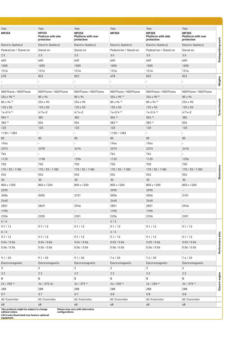| Yale<br><b>MP25X</b>    | Yale<br><b>MP25X</b><br><b>Platform with side</b><br>protection | Yale<br><b>MP25X</b><br><b>Platform with rear</b><br>protection | Yale<br><b>MP30X</b>     | Yale<br><b>MP30X</b><br><b>Platform with side</b><br>protection | Yale<br><b>MP30X</b><br><b>Platform with rear</b><br>protection | Distinguishing mark |
|-------------------------|-----------------------------------------------------------------|-----------------------------------------------------------------|--------------------------|-----------------------------------------------------------------|-----------------------------------------------------------------|---------------------|
| Electric (battery)      | Electric (battery)                                              | Electric (battery)                                              | Electric (battery)       | Electric (battery)                                              | Electric (battery)                                              |                     |
| Pedestrian / Stand-on   | Stand-on                                                        | Stand-on                                                        | Pedestrian / Stand-on    | Pedestrian / Stand-on                                           | Stand-on                                                        |                     |
| 2.5                     | 2.5                                                             | 2.5                                                             | 3.0                      | 3.0                                                             | 3.0                                                             |                     |
| 600                     | 600                                                             | 600                                                             | 600                      | 600                                                             | 600                                                             |                     |
| 1005                    | 1005                                                            | 1005                                                            | 1005                     | 1005                                                            | 1005                                                            |                     |
| 1516                    | 1516                                                            | 1516                                                            | 1516                     | 1516                                                            | 1516                                                            |                     |
| 678                     | 822                                                             | 822                                                             | 678                      | 822                                                             | 822                                                             |                     |
|                         | $\overline{\phantom{a}}$                                        | $\overline{a}$                                                  | $\overline{\phantom{0}}$ | $\overline{a}$                                                  | $\overline{\phantom{a}}$                                        | Weights             |
|                         | $\overline{\phantom{a}}$                                        | $\overline{\phantom{a}}$                                        | $\overline{\phantom{a}}$ | $\overline{\phantom{a}}$                                        | $\overline{\phantom{a}}$                                        |                     |
| NDIIThane / NDIIThane   | NDIIThane / NDIIThane                                           | NDIIThane / NDIIThane                                           | NDIIThane / NDIIThane    | NDIIThane / NDIIThane                                           | NDIIThane / NDIIThane                                           |                     |
| 254 x 90 (6)            | 85 x 94                                                         | 85 x 94                                                         | 254 x 90 (6)             | 254 x 90 (6)                                                    | 85 x 94                                                         |                     |
| 85 x 94 (6)             | 254 x 90                                                        | 254 x 90                                                        | $85 \times 94^{(6)}$     | 85 x 94 (6)                                                     | 254 x 90                                                        |                     |
| $125 \times 50$         | 125 x 50                                                        | 125 x 50                                                        | 125 x 50                 | $125 \times 50$                                                 | $125 \times 50$                                                 | Tyres/chassis       |
| $1x+2/4$ <sup>(6)</sup> | $4/1x+2$                                                        | $4/1x+2$                                                        | $1x+2/4$ <sup>(6)</sup>  | $1x+2/4^{(6)}$                                                  | $4/1x+2$                                                        |                     |
| 504 (6)                 | 382                                                             | 382                                                             | 504 (6)                  | 504 (6)                                                         | 382                                                             |                     |
| 382 (6)                 | 504                                                             | 504                                                             | 382 (6)                  | 382 (6)                                                         | 504                                                             |                     |
|                         |                                                                 |                                                                 |                          |                                                                 |                                                                 |                     |
| 120                     | 120                                                             | 120                                                             | 120                      | 120                                                             | 120                                                             |                     |
| 1150 / 1383             | $\mathcal{L}_{\mathcal{A}}$                                     | ÷.                                                              | 1150 / 1383              | $\blacksquare$                                                  | $\omega$                                                        |                     |
| 85                      | 85                                                              | 85                                                              | 85                       | 85                                                              | 85                                                              |                     |
| 1944                    | $\blacksquare$                                                  | ÷,                                                              | 1944                     | 1944                                                            | $\equiv$                                                        |                     |
| 2373                    | 2378                                                            | 2476                                                            | 2373                     | 2373                                                            | 2476                                                            |                     |
| 764                     | ÷,                                                              | $\overline{a}$                                                  | 764                      | 764                                                             | $\overline{\phantom{a}}$                                        |                     |
| 1125                    | 1198                                                            | 1296                                                            | 1125                     | 1125                                                            | 1296                                                            |                     |
| 750                     | 750                                                             | 750                                                             | 750                      | 750                                                             | 750                                                             |                     |
| 170 / 55 / 1180         | 170 / 55 / 1180                                                 | 170 / 55 / 1180                                                 | 170 / 55 / 1180          | 170 / 55 / 1180                                                 | 170 / 55 / 1180                                                 |                     |
| 552                     | 552                                                             | 552                                                             | 552                      | 552                                                             | 552                                                             | <b>Dimensions</b>   |
| 30                      | 30                                                              | 30                                                              | 30                       | 30                                                              | 30 <sup>°</sup>                                                 |                     |
| 800 x 1200              | 800 x 1200                                                      | 800 x 1200                                                      | 800 x 1200               | 800 x 1200                                                      | 800 x 1200                                                      |                     |
| 2595                    | $\overline{\phantom{a}}$                                        | $\overline{\phantom{a}}$                                        | 2595                     | 2595                                                            | $\overline{\phantom{a}}$                                        |                     |
| 3006                    | 3005                                                            | 3101                                                            | 3006                     | 3006                                                            | 3101                                                            |                     |
| 2440                    | $\overline{\phantom{a}}$                                        | $\overline{\phantom{a}}$                                        | 2440                     | 2440                                                            | $\sim$                                                          |                     |
| 2851                    | 2849                                                            | 2946                                                            | 2851                     | 2851                                                            | 2946                                                            |                     |
| 1795                    | $\sim$                                                          | $\sim 10^7$                                                     | 1795                     | 1795                                                            | $\omega_{\rm{max}}$                                             |                     |
| 2206                    | 2205                                                            | 2301                                                            | 2206                     | 2206                                                            | 2301                                                            |                     |
| $6/6$                   | $\sim$                                                          | $\sim$                                                          | $6/6$                    | $\sim$                                                          | $\omega_{\rm{eff}}$                                             |                     |
| 9.7/13                  | 9.7/13                                                          | 9.7/13                                                          | 9.1 / 13                 | 9.1 / 13                                                        | 9.1 / 13                                                        |                     |
| $6/6$                   | $\sim$                                                          | $\sim 10^{-1}$                                                  | $6/6$                    | $\sim$                                                          | $\sim 10^7$                                                     |                     |
| 9.7/13                  | 9.7/13                                                          | 9.7/13                                                          | 9.1 / 13                 | 9.1 / 13                                                        | 9.1 / 13                                                        |                     |
| 0.04 / 0.06             | 0.04 / 0.06                                                     | 0.04 / 0.06                                                     | 0.03 / 0.06              | 0.03 / 0.06                                                     | 0.03 / 0.06                                                     |                     |
| 0.06 / 0.06             | 0.06 / 0.06                                                     | 0.06 / 0.06                                                     | 0.06 / 0.06              | 0.06 / 0.06                                                     | 0.06 / 0.06                                                     | Performance data    |
|                         |                                                                 |                                                                 |                          |                                                                 |                                                                 |                     |
|                         | $\overline{\phantom{a}}$                                        | $\sim$<br>9.1 / 20                                              | $\sim$<br>7.4 / 20       | $\sim$<br>7.4 / 20                                              | $\sim$<br>7.4 / 20                                              |                     |
| 9.1 / 20                | 9.1 / 20                                                        |                                                                 |                          |                                                                 |                                                                 |                     |
| Electromagnetic         | Electromagnetic                                                 | Electromagnetic                                                 | Electromagnetic          | Electromagnetic                                                 | Electromagnetic                                                 |                     |
| 3                       | 3                                                               | 3                                                               | $\mathbf{3}$             | 3                                                               | 3                                                               |                     |
| $2.2\,$                 | $2.2\,$                                                         | 2.2                                                             | 2.2                      | 2.2                                                             | 2.2                                                             | Electric engine     |
| В                       | B                                                               | B                                                               | B                        | B                                                               | B                                                               |                     |
| 24 / 250 (4)            | 24 / 375 (4)                                                    | 24 / 375 (4)                                                    | 24 / 250 (4)             | 24 / 250 (4)                                                    | 24 / 375 (4)                                                    |                     |
| 288                     | 288                                                             | 288                                                             | 288                      | 288                                                             | 288                                                             |                     |
| 0.7                     | 0.7                                                             | 0.7                                                             | 0.8                      | 0.8                                                             | 0.8                                                             |                     |
| AC-Controller           | AC-Controller                                                   | AC-Controller                                                   | AC-Controller            | AC-Controller                                                   | AC-Controller                                                   |                     |
| 68                      | 68                                                              | 68                                                              | 68                       | 68                                                              | 68                                                              |                     |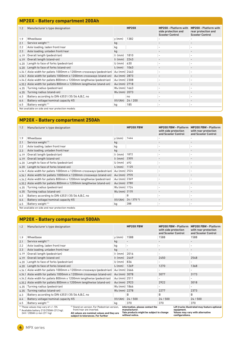# **MP20X - Battery compartment 200Ah**

| 1.2  | Manufacturer's type designation                                       |                 | <b>MP20X</b> | <b>MP20X - Platform with</b><br>side protection and<br><b>Scooter Control</b> | <b>MP20X - Platform with</b><br>rear protection and<br><b>Scooter Control</b> |
|------|-----------------------------------------------------------------------|-----------------|--------------|-------------------------------------------------------------------------------|-------------------------------------------------------------------------------|
| 1.9  | Wheelbase                                                             | $y$ (mm)        | 1382         |                                                                               |                                                                               |
| 2.1  | Service weight (1)                                                    | kg              |              |                                                                               |                                                                               |
| 2.2  | Axle loading, laden front/rear                                        | kg              |              |                                                                               | $\overline{\phantom{a}}$                                                      |
| 2.3  | Axle loading, unladen front/rear                                      | kg              |              |                                                                               |                                                                               |
| 4.19 | Overall length (pedestrian)                                           | $11$ (mm)       | 1810         |                                                                               |                                                                               |
| 4.19 | Overall length (stand-on)                                             | $11$ (mm)       | 2243         |                                                                               |                                                                               |
| 4.20 | Length to face of forks (pedestrian)                                  | l2 (mm)         | 630          |                                                                               | $\overline{\phantom{a}}$                                                      |
| 4.20 | Length to face of forks (stand-on)                                    | $l_2$ (mm) 1063 |              |                                                                               |                                                                               |
|      | 4.34.1 Aisle width for pallets 1000mm x 1200mm crossways (pedestrian) | Ast (mm) 2463   |              |                                                                               |                                                                               |
|      | 4.34.1 Aisle width for pallets 1000mm x 1200mm crossways (stand-on)   | Ast (mm) 2873   |              |                                                                               |                                                                               |
|      | 4.34.2 Aisle width for pallets 800mm x 1200mm lengthwise (pedestrian) | Ast (mm) 2308   |              |                                                                               | $\overline{\phantom{a}}$                                                      |
|      | 4.35.2 Aisle width for pallets 800mm x 1200mm lengthwise (stand-on)   | Ast (mm) 2718   |              |                                                                               |                                                                               |
| 4.35 | Turning radius (pedestrian)                                           | Wa (mm) 1663    |              |                                                                               |                                                                               |
| 4.35 | Turning radius (stand-on)                                             | Wa (mm) 2073    |              |                                                                               |                                                                               |
| 6.3  | Battery according to DIN 43531/35/36 A,B,C, no                        |                 | no           |                                                                               |                                                                               |
| 6.4  | Battery voltage/nominal capacity K5                                   | (V)/(Ah)        | 24/200       |                                                                               |                                                                               |
| 6.5  | Battery weight (1)                                                    | kg              | 185          |                                                                               | $\overline{\phantom{a}}$                                                      |
|      | Not available on side and rear protection models                      |                 |              |                                                                               |                                                                               |

# **MP20X - Battery compartment 250Ah**

| 1.2  | Manufacturer's type designation                                       |                     | <b>MP20X FBW</b>          | <b>MP20X FBW - Platform</b><br>with side protection<br>and Scooter Control | <b>MP20X FBW - Platform</b><br>with rear protection<br>and Scooter Control |
|------|-----------------------------------------------------------------------|---------------------|---------------------------|----------------------------------------------------------------------------|----------------------------------------------------------------------------|
| 1.9  | Wheelbase                                                             | $y$ (mm)            | 1444                      |                                                                            |                                                                            |
| 2.1  | Service weight (1)                                                    | kg                  |                           |                                                                            |                                                                            |
| 2.2  | Axle loading, laden front/rear                                        | kg                  |                           |                                                                            |                                                                            |
| 2.3  | Axle loading, unladen front/rear                                      | kg                  |                           |                                                                            |                                                                            |
| 4.19 | Overall length (pedestrian)                                           | $11$ (mm)           | 1872                      |                                                                            |                                                                            |
| 4.19 | Overall length (stand-on)                                             | $11$ (mm)           | 2305                      |                                                                            |                                                                            |
| 4.20 | Length to face of forks (pedestrian)                                  | $12 \, \text{(mm)}$ | 692                       |                                                                            | $\sim$                                                                     |
| 4.20 | Length to face of forks (stand-on)                                    | $l_2$ (mm)          | 1125                      |                                                                            |                                                                            |
|      | 4.34.1 Aisle width for pallets 1000mm x 1200mm crossways (pedestrian) | Ast (mm) 2524       |                           |                                                                            |                                                                            |
|      | 4.34.1 Aisle width for pallets 1000mm x 1200mm crossways (stand-on)   | Ast (mm) 2935       |                           |                                                                            |                                                                            |
|      | 4.34.2 Aisle width for pallets 800mm x 1200mm lengthwise (pedestrian) | Ast (mm) 2369       |                           |                                                                            |                                                                            |
|      | 4.35.2 Aisle width for pallets 800mm x 1200mm lengthwise (stand-on)   | Ast (mm) 2780       |                           |                                                                            |                                                                            |
| 4.35 | Turning radius (pedestrian)                                           | Wa (mm) 1724        |                           |                                                                            | $\overline{\phantom{a}}$                                                   |
| 4.35 | Turning radius (stand-on)                                             | Wa (mm) 2135        |                           |                                                                            |                                                                            |
| 6.3  | Battery according to DIN 43531/35/36 A,B,C, no                        |                     | B                         |                                                                            |                                                                            |
| 6.4  | Battery voltage/nominal capacity K5                                   | (V)/(Ah)            | $24 / 375$ <sup>(2)</sup> |                                                                            |                                                                            |
| 6.5  | Battery weight (1)                                                    | kq                  | 288                       |                                                                            | $\sim$                                                                     |
|      | Not available on side and rear protection models                      |                     |                           |                                                                            |                                                                            |

|      | <b>MP20X - Battery compartment 500Ah</b>                                              |                                                                                   |               |                                                                                                                    |                                                                            |                                                                            |  |  |  |
|------|---------------------------------------------------------------------------------------|-----------------------------------------------------------------------------------|---------------|--------------------------------------------------------------------------------------------------------------------|----------------------------------------------------------------------------|----------------------------------------------------------------------------|--|--|--|
| 1.2  | Manufacturer's type designation                                                       |                                                                                   |               | <b>MP20X FBW</b>                                                                                                   | <b>MP20X FBW - Platform</b><br>with side protection<br>and Scooter Control | <b>MP20X FBW - Platform</b><br>with rear protection<br>and Scooter Control |  |  |  |
| 1.9  | Wheelbase                                                                             |                                                                                   | $y$ (mm)      | 1588                                                                                                               | 1588                                                                       | 1588                                                                       |  |  |  |
| 2.1  | Service weight (1)                                                                    |                                                                                   | kg            |                                                                                                                    |                                                                            |                                                                            |  |  |  |
| 2.2  | Axle loading, laden front/rear                                                        |                                                                                   | kg            | $\overline{\phantom{0}}$                                                                                           |                                                                            | $\overline{\phantom{a}}$                                                   |  |  |  |
| 2.3  | Axle loading, unladen front/rear                                                      |                                                                                   | kg            | $\overline{\phantom{a}}$                                                                                           | $\overline{\phantom{a}}$                                                   | $\overline{\phantom{a}}$                                                   |  |  |  |
| 4.19 | Overall length (pedestrian)                                                           |                                                                                   | $11$ (mm)     | 2016                                                                                                               | $\overline{\phantom{a}}$                                                   | $\overline{\phantom{a}}$                                                   |  |  |  |
| 4.19 | Overall length (stand-on)                                                             |                                                                                   | $11$ (mm)     | 2449                                                                                                               | 2450                                                                       | 2548                                                                       |  |  |  |
| 4.20 | Length to face of forks (pedestrian)                                                  |                                                                                   | $l2$ (mm)     | 836                                                                                                                |                                                                            |                                                                            |  |  |  |
| 4.20 | Length to face of forks (stand-on)                                                    |                                                                                   | $l_2$ (mm)    | 1269                                                                                                               | 1270                                                                       | 1368                                                                       |  |  |  |
|      |                                                                                       | 4.34.1 Aisle width for pallets 1000mm x 1200mm crossways (pedestrian)             | Ast (mm) 2666 |                                                                                                                    |                                                                            |                                                                            |  |  |  |
|      |                                                                                       | 4.34.1 Aisle width for pallets 1000mm x 1200mm crossways (stand-on) Ast (mm) 3078 |               |                                                                                                                    | 3077                                                                       | 3173                                                                       |  |  |  |
|      | 4.34.2 Aisle width for pallets 800mm x 1200mm lengthwise (pedestrian)                 |                                                                                   | Ast (mm) 2511 |                                                                                                                    |                                                                            |                                                                            |  |  |  |
|      | 4.35.2 Aisle width for pallets 800mm x 1200mm lengthwise (stand-on)                   |                                                                                   | Ast (mm) 2923 |                                                                                                                    | 2922                                                                       | 3018                                                                       |  |  |  |
| 4.35 | Turning radius (pedestrian)                                                           |                                                                                   | Wa (mm) 1866  |                                                                                                                    |                                                                            |                                                                            |  |  |  |
| 4.35 | Turning radius (stand-on)                                                             |                                                                                   | Wa (mm) 2278  |                                                                                                                    | 2277                                                                       | 2373                                                                       |  |  |  |
| 6.3  | Battery according to DIN 43531/35/36 A,B,C, no                                        |                                                                                   |               | B                                                                                                                  | B                                                                          | B                                                                          |  |  |  |
| 6.4  | Battery voltage/nominal capacity K5                                                   |                                                                                   | (V)/(Ah)      | 24/500                                                                                                             | 24/500                                                                     | 24/500                                                                     |  |  |  |
| 6.5  | Battery weight (1)                                                                    |                                                                                   | kg            | 370                                                                                                                | 370                                                                        | 370                                                                        |  |  |  |
|      | $(1)$ These values may vary of $+/-5%$<br>$(2)$ Available battery 210/250Ah (212 kg); | (3) Stand-on version. For Pedestrian version.<br>front/rear are inverted.         |               | information, please contact the<br>manufacturer.                                                                   | equipment.                                                                 | Lift trucks illustrated may feature optional                               |  |  |  |
|      | 24V / 200Ah Li-Ion (211 kg)                                                           | All values are nominal values and they are<br>subject to tolerances. For further  |               | Yale products might be subject to change<br>Values may vary with alternative<br>without notice.<br>configurations. |                                                                            |                                                                            |  |  |  |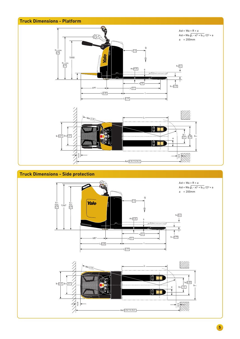

### **Truck Dimensions - Side protection**



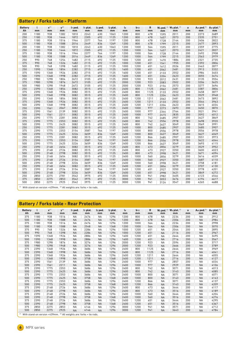|                      | <b>Battery / Forks table - Platform</b> |                          |                       |                           |                            |                           |                            |          |           |                    |      |                                |                      |                               |                                |
|----------------------|-----------------------------------------|--------------------------|-----------------------|---------------------------|----------------------------|---------------------------|----------------------------|----------|-----------|--------------------|------|--------------------------------|----------------------|-------------------------------|--------------------------------|
| <b>Battery</b><br>Ah | t<br>mm                                 | $\mathbf{x}^{(1)}$<br>mm | ${\bf y}^{(2)}$<br>mm | I <sub>1</sub> ped.<br>mm | I <sub>1</sub> plat.<br>mm | l <sub>2</sub> ped.<br>mm | l <sub>2</sub> plat.<br>mm | l6<br>mm | b12<br>mm | $\mathsf{R}$<br>mm | mm   | Wa ped. (1) Wa plat. (1)<br>mm | $\overline{a}$<br>mm | Ast ped. <sup>(1)</sup><br>mm | Ast plat. <sup>(1)</sup><br>mm |
| 200                  | 1180                                    | 938                      | 1382                  | 1810                      | 2243                       | 630                       | 1063                       | 1200     | 800       | 478                | 1595 | 2011                           | 200                  | 2273                          | 2689                           |
| 250                  | 1180                                    | 938                      | 1444                  | 1872                      | 2305                       | 692                       | 1125                       | 1200     | 800       | 478                | 1657 | 2073                           | 200                  | 2335                          | 2751                           |
| 375                  | 1180                                    | 938                      | 1516                  | 1944                      | 2377                       | 764                       | 1197                       | 1200     | 800       | 478                | 1728 | 2144                           | 200                  | 2406                          | 2822                           |
| 500                  | 1180                                    | 938                      | 1588                  | 2016                      | 2449                       | 836                       | 1269                       | 1200     | 800       | 478                | 1799 | 2215                           | 200                  | 2477                          | 2893                           |
| 200                  | 1180                                    | 938                      | 1382                  | 1810                      | 2243                       | 630                       | 1063                       | 1200     | 1000      | 564                | 1595 | 2011                           | 200                  | 2359                          | 2775                           |
| 250                  | 1180                                    | 938                      | 1444                  | 1872                      | 2305                       | 692                       | 1125                       | 1200     | 1000      | 564                | 1657 | 2073                           | 200                  | 2421                          | 2837                           |
| 375                  | 1180                                    | 938                      | 1516                  | 1944                      | 2377                       | 764                       | 1197                       | 1200     | 1000      | 564                | 1728 | 2144                           | 200                  | 2492                          | 2908                           |
| 500                  | 1180                                    | 938                      | 1588                  | 2016                      | 2449                       | 836                       | 1269                       | 1200     | 1000      | 564                | 1799 | 2215                           | 200                  | 2563                          | 2979                           |
| 250                  | 990                                     | 748                      | 1254                  | 1682                      | 2115                       | 692                       | 1125                       | 1000     | 1200      | 651                | 1470 | 1884                           | 200                  | 2321                          | 2735                           |
| 375                  | 990                                     | 748                      | 1326                  | 1682                      | 2115                       | 692                       | 1125                       | 1000     | 1200      | 651                | 1541 | 1955                           | 200                  | 2392                          | 2806                           |
| 500                  | 990                                     | 748                      | 1398                  | 1682                      | 2115                       | 692                       | 1125                       | 1000     | 1200      | 651                | 1612 | 2026                           | 200                  | 2463                          | 2877                           |
| 250                  | 1590                                    | 1348                     | 1854                  | 2282                      | 2715                       | 692                       | 1125                       | 1600     | 1200      | 651                | 2062 | 2481                           | 200                  | 2913                          | 3332                           |
| 375                  | 1590                                    | 1348                     | 1926                  | 2282                      | 2715                       | 692                       | 1125                       | 1600     | 1200      | 651                | 2133 | 2552                           | 200                  | 2984                          | 3403                           |
| 500                  | 1590                                    | 1348                     | 1998                  | 2282                      | 2715                       | 692                       | 1125                       | 1600     | 1200      | 651                | 2204 | 2623                           | 200                  | 3055                          | 3474                           |
| 250                  | 1980                                    | 1298                     | 1804                  | 2672                      | 3105                       | 692                       | 1125                       | 2000     | 1200      | 923                | 2012 | 2431                           | 200                  | 3135                          | 3554                           |
| 375                  | 1980                                    | 1298                     | 1876                  | 2672                      | 3105                       | 692                       | 1125                       | 2000     | 1200      | 923                | 2083 | 2502                           | 200                  | 3206                          | 3625                           |
| 500                  | 1980                                    | 1298                     | 1948                  | 2672                      | 3105                       | 692                       | 1125                       | 2000     | 1200      | 923                | 2154 | 2573                           | 200                  | 3277                          | 3696                           |
| 250                  | 2390                                    | 1348                     | 1854                  | 3082                      | 3515                       | 692                       | 1125                       | 2400     | 800       | 1125               | 2062 | 2481                           | 200                  | 3387                          | 3806                           |
| 375                  | 2390                                    | 1348                     | 1926                  | 3082                      | 3515                       | 692                       | 1125                       | 2400     | 800       | 1125               | 2133 | 2552                           | 200                  | 3458                          | 3877                           |
| 500                  | 2390                                    | 1348                     | 1998                  | 3082                      | 3515                       | 692                       | 1125                       | 2400     | 800       | 1125               | 2204 | 2623                           | 200                  | 3529                          | 3948                           |
| 250                  | 2390                                    | 1348                     | 1854                  | 3082                      | 3515                       | 692                       | 1125                       | 2400     | 1200      | 1211               | 2062 | 2481                           | 200                  | 3473                          | 3892                           |
| 375                  | 2390                                    | 1348                     | 1926                  | 3082                      | 3515                       | 692                       | 1125                       | 2400     | 1200      | 1211               | 2133 | 2552                           | 200                  | 3544                          | 3963                           |
| 500                  | 2390                                    | 1348                     | 1998                  | 3082                      | 3515                       | 692                       | 1125                       | 2400     | 1200      | 1211               | 2204 | 2623                           | 200                  | 3615                          | 4034                           |
| 250                  | 2390                                    | 1561                     | 2067                  | 3082                      | 3515                       | 692                       | 1125                       | 2400     | 1000      | 977                | 2273 | 2693                           | 200                  | 3450                          | 3870                           |
| 375                  | 2390                                    | 1561                     | 2139                  | 3082                      | 3515                       | 692                       | 1125                       | 2400     | 1000      | 977                | 2344 | 2764                           | 200                  | 3521                          | 3941                           |
| 500                  | 2390                                    | 1561                     | 2211                  | 3082                      | 3515                       | 692                       | 1125                       | 2400     | 1000      | 977                | 2415 | 2835                           | 200                  | 3592                          | 4012                           |
| 250                  | 2390                                    | 1775                     | 2281                  | 3082                      | 3515                       | 692                       | 1125                       | 2400     | 800       | 742                | 2485 | 2907                           | 200                  | 3427                          | 3849                           |
| 375                  | 2390                                    | 1775                     | 2353                  | 3082                      | 3515                       | 692                       | 1125                       | 2400     | 800       | 742                | 2556 | 2978                           | 200                  | 3498                          | 3920                           |
| 500                  | 2390                                    | 1775                     | 2425                  | 3082                      | 3515                       | 692                       | 1125                       | 2400     | 800       | 742                | 2627 | 3049                           | 200                  | 3569                          | 3991                           |
| 250                  | 2390                                    | 1775                     | 2281                  | 3082                      | 3515                       | 692                       | 1125                       | 2400     | 1000      | 800                | 2485 | 2907                           | 200                  | 3485                          | 3907                           |
| 375                  | 2390                                    | 1775                     | 2353                  | 3154                      | 3587                       | 764                       | 1197                       | 2400     | 1000      | 800                | 2556 | 2978                           | 200                  | 3556                          | 3978                           |
| 500                  | 2390                                    | 1775                     | 2425                  | 3226                      | 3659                       | 836                       | 1269                       | 2400     | 1000      | 800                | 2627 | 3049                           | 200                  | 3627                          | 4049                           |
| 250                  | 2390                                    | 1775                     | 2281                  | 3082                      | 3515                       | 692                       | 1125                       | 2400     | 1200      | 866                | 2485 | 2907                           | 200                  | 3551                          | 3973                           |
| 375                  | 2390                                    | 1775                     | 2353                  | 3154                      | 3587                       | 764                       | 1197                       | 2400     | 1200      | 866                | 2556 | 2978                           | 200                  | 3622                          | 4044                           |
| 500                  | 2390                                    | 1775                     | 2425                  | 3226                      | 3659                       | 836                       | 1269                       | 2400     | 1200      | 866                | 2627 | 3049                           | 200                  | 3693                          | 4115                           |
| 250                  | 2390                                    | 2148                     | 2654                  | 3082                      | 3515                       | 692                       | 1125                       | 2400     | 800       | 473                | 2856 | 3279                           | 200                  | 3529                          | 3952                           |
| 375                  | 2390                                    | 2148                     | 2726                  | 3082                      | 3515                       | 692                       | 1125                       | 2400     | 800       | 473                | 2927 | 3350                           | 200                  | 3600                          | 4023                           |
| 500                  | 2390                                    | 2148                     | 2798                  | 3082                      | 3515                       | 692                       | 1125                       | 2400     | 800       | 473                | 2998 | 3421                           | 200                  | 3671                          | 4094                           |
| 250                  | 2390                                    | 2148                     | 2654                  | 3082                      | 3515                       | 692                       | 1125                       | 2400     | 1000      | 560                | 2856 | 3279                           | 200                  | 3616                          | 4039                           |
| 375                  | 2390                                    | 2148                     | 2726                  | 3154                      | 3587                       | 764                       | 1197                       | 2400     | 1000      | 560                | 2927 | 3350                           | 200                  | 3687                          | 4110                           |
| 500                  | 2390                                    | 2148                     | 2798                  | 3226                      | 3659                       | 836                       | 1269                       | 2400     | 1000      | 560                | 2998 | 3421                           | 200                  | 3758                          | 4181                           |
| 250                  | 2390                                    | 2148                     | 2654                  | 3082                      | 3515                       | 692                       | 1125                       | 2400     | 1200      | 651                | 2856 | 3279                           | 200                  | 3707                          | 4130                           |
| 375                  | 2390                                    | 2148                     | 2726                  | 3154                      | 3587                       | 764                       | 1197                       | 2400     | 1200      | 651                | 2927 | 3350                           | 200                  | 3778                          | 4201                           |
| 500                  | 2390                                    | 2148                     | 2798                  | 3226                      | 3659                       | 836                       | 1269                       | 2400     | 1200      | 651                | 2998 | 3421                           | 200                  | 3849                          | 4272                           |
| 250                  | 2850                                    | 2275                     | 2781                  | 3542                      | 3975                       | 692                       | 1125                       | 3000     | 1200      | 941                | 2982 | 3405                           | 200                  | 4123                          | 4546                           |
| 375                  | 2850                                    | 2275                     | 2853                  | 3542                      | 3975                       | 692                       | 1125                       | 3000     | 1200      | 941                | 3053 | 3476                           | 200                  | 4194                          | 4617                           |
| 500                  | 2850                                    | 2275                     | 2925                  | 3542                      | 3975                       | 692                       | 1125                       | 3000     | 1200      | 941                | 3124 | 3547                           | 200                  | 4265                          | 4688                           |

 $(1)$  With stand-on version +439mm.  $(2)$  All weights are: forks + tie rods.

|                      | <b>Battery / Forks table - Rear Protection</b> |                          |                                                                         |                           |                            |                           |                            |          |                       |         |           |                                |         |                               |                                |
|----------------------|------------------------------------------------|--------------------------|-------------------------------------------------------------------------|---------------------------|----------------------------|---------------------------|----------------------------|----------|-----------------------|---------|-----------|--------------------------------|---------|-------------------------------|--------------------------------|
| <b>Battery</b><br>Ah | mm                                             | $\mathbf{x}^{(1)}$<br>mm | ${\bf y}^{(2)}$<br>mm                                                   | l <sub>1</sub> ped.<br>mm | I <sub>1</sub> plat.<br>mm | l <sub>2</sub> ped.<br>mm | l <sub>2</sub> plat.<br>mm | l6<br>mm | b <sub>12</sub><br>mm | R<br>mm | mm        | Wa ped. (1) Wa plat. (1)<br>mm | a<br>mm | Ast ped. <sup>(1)</sup><br>mm | Ast plat. <sup>(1)</sup><br>mm |
| 375                  | 1180                                           | 938                      | 1516                                                                    | <b>NA</b>                 | 2476                       | <b>NA</b>                 | 1296                       | 1200     | 800                   | 478     | <b>NA</b> | 2234                           | 200     | <b>NA</b>                     | 2912                           |
| 500                  | 1180                                           | 938                      | 1588                                                                    | <b>NA</b>                 | 2476                       | <b>NA</b>                 | 1296                       | 1200     | 800                   | 478     | <b>NA</b> | 2306                           | 200     | <b>NA</b>                     | 2984                           |
| 375                  | 1180                                           | 938                      | 1516                                                                    | <b>NA</b>                 | 2476                       | <b>NA</b>                 | 1296                       | 1200     | 1000                  | 564     | <b>NA</b> | 2234                           | 200     | <b>NA</b>                     | 2998                           |
| 500                  | 1180                                           | 938                      | 1588                                                                    | <b>NA</b>                 | 2548                       | <b>NA</b>                 | 1368                       | 1200     | 1000                  | 564     | <b>NA</b> | 2306                           | 200     | <b>NA</b>                     | 3070                           |
| 375                  | 990                                            | 748                      | 1326                                                                    | <b>NA</b>                 | 2286                       | <b>NA</b>                 | 1296                       | 1000     | 1200                  | 651     | <b>NA</b> | 2044                           | 200     | <b>NA</b>                     | 2895                           |
| 500                  | 990                                            | 748                      | 1398                                                                    | <b>NA</b>                 | 2286                       | <b>NA</b>                 | 1296                       | 1000     | 1200                  | 651     | <b>NA</b> | 2116                           | 200     | <b>NA</b>                     | 2967                           |
| 375                  | 1590                                           | 1348                     | 1926                                                                    | <b>NA</b>                 | 2886                       | <b>NA</b>                 | 1296                       | 1600     | 1200                  | 651     | <b>NA</b> | 2644                           | 200     | <b>NA</b>                     | 3495                           |
| 500                  | 1590                                           | 1348                     | 1998                                                                    | <b>NA</b>                 | 2886                       | <b>NA</b>                 | 1296                       | 1600     | 1200                  | 651     | <b>NA</b> | 2716                           | 200     | <b>NA</b>                     | 3567                           |
| 375                  | 1980                                           | 1298                     | 1876                                                                    | <b>NA</b>                 | 3276                       | <b>NA</b>                 | 1296                       | 2000     | 1200                  | 923     | <b>NA</b> | 2594                           | 200     | <b>NA</b>                     | 3717                           |
| 500                  | 1980                                           | 1298                     | 1948                                                                    | <b>NA</b>                 | 3276                       | <b>NA</b>                 | 1296                       | 2000     | 1200                  | 923     | <b>NA</b> | 2666                           | 200     | <b>NA</b>                     | 3789                           |
| 375                  | 2390                                           | 1348                     | 1926                                                                    | <b>NA</b>                 | 3686                       | <b>NA</b>                 | 1296                       | 2400     | 800                   | 1125    | <b>NA</b> | 2644                           | 200     | <b>NA</b>                     | 3969                           |
| 500                  | 2390                                           | 1348                     | 1998                                                                    | <b>NA</b>                 | 3686                       | <b>NA</b>                 | 1296                       | 2400     | 800                   | 1125    | <b>NA</b> | 2716                           | 200     | <b>NA</b>                     | 4041                           |
| 375                  | 2390                                           | 1348                     | 1926                                                                    | <b>NA</b>                 | 3686                       | <b>NA</b>                 | 1296                       | 2400     | 1200                  | 1211    | <b>NA</b> | 2644                           | 200     | <b>NA</b>                     | 4055                           |
| 500                  | 2390                                           | 1348                     | 1998                                                                    | <b>NA</b>                 | 3758                       | <b>NA</b>                 | 1368                       | 2400     | 1200                  | 1211    | <b>NA</b> | 2716                           | 200     | <b>NA</b>                     | 4127                           |
| 375                  | 2390                                           | 1561                     | 2139                                                                    | <b>NA</b>                 | 3686                       | <b>NA</b>                 | 1296                       | 2400     | 1000                  | 977     | <b>NA</b> | 2857                           | 200     | <b>NA</b>                     | 4034                           |
| 500                  | 2390                                           | 1561                     | 2211                                                                    | <b>NA</b>                 | 3686                       | <b>NA</b>                 | 1296                       | 2400     | 1000                  | 977     | <b>NA</b> | 2929                           | 200     | <b>NA</b>                     | 4106                           |
| 375                  | 2390                                           | 1775                     | 2353                                                                    | <b>NA</b>                 | 3686                       | <b>NA</b>                 | 1296                       | 2400     | 800                   | 742     | <b>NA</b> | 3071                           | 200     | <b>NA</b>                     | 4013                           |
| 500                  | 2390                                           | 1775                     | 2425                                                                    | <b>NA</b>                 | 3686                       | <b>NA</b>                 | 1296                       | 2400     | 800                   | 742     | <b>NA</b> | 3143                           | 200     | <b>NA</b>                     | 4085                           |
| 375                  | 2390                                           | 1775                     | 2353                                                                    | <b>NA</b>                 | 3686                       | <b>NA</b>                 | 1296                       | 2400     | 1000                  | 800     | <b>NA</b> | 3071                           | 200     | <b>NA</b>                     | 4071                           |
| 500                  | 2390                                           | 1775                     | 2425                                                                    | <b>NA</b>                 | 3758                       | <b>NA</b>                 | 1368                       | 2400     | 1000                  | 800     | <b>NA</b> | 3143                           | 200     | <b>NA</b>                     | 4143                           |
| 375                  | 2390                                           | 1775                     | 2353                                                                    | <b>NA</b>                 | 3686                       | <b>NA</b>                 | 1296                       | 2400     | 1200                  | 866     | <b>NA</b> | 3071                           | 200     | <b>NA</b>                     | 4137                           |
| 500                  | 2390                                           | 1775                     | 2425                                                                    | <b>NA</b>                 | 3758                       | <b>NA</b>                 | 1368                       | 2400     | 1200                  | 866     | <b>NA</b> | 3143                           | 200     | <b>NA</b>                     | 4209                           |
| 375                  | 2390                                           | 2148                     | 2726                                                                    | <b>NA</b>                 | 3686                       | <b>NA</b>                 | 1296                       | 2400     | 800                   | 473     | <b>NA</b> | 3444                           | 200     | <b>NA</b>                     | 4117                           |
| 500                  | 2390                                           | 2148                     | 2798                                                                    | <b>NA</b>                 | 3686                       | <b>NA</b>                 | 1296                       | 2400     | 800                   | 473     | <b>NA</b> | 3516                           | 200     | <b>NA</b>                     | 4189                           |
| 375                  | 2390                                           | 2148                     | 2726                                                                    | <b>NA</b>                 | 3686                       | <b>NA</b>                 | 1296                       | 2400     | 1000                  | 560     | <b>NA</b> | 3444                           | 200     | <b>NA</b>                     | 4204                           |
| 500                  | 2390                                           | 2148                     | 2798                                                                    | <b>NA</b>                 | 3758                       | <b>NA</b>                 | 1368                       | 2400     | 1000                  | 560     | <b>NA</b> | 3516                           | 200     | <b>NA</b>                     | 4276                           |
| 375                  | 2390                                           | 2148                     | 2726                                                                    | <b>NA</b>                 | 3686                       | <b>NA</b>                 | 1296                       | 2400     | 1200                  | 651     | <b>NA</b> | 3444                           | 200     | <b>NA</b>                     | 4295                           |
| 500                  | 2390                                           | 2148                     | 2798                                                                    | <b>NA</b>                 | 3758                       | <b>NA</b>                 | 1368                       | 2400     | 1200                  | 651     | <b>NA</b> | 3516                           | 200     | <b>NA</b>                     | 4367                           |
| 375                  | 2850                                           | 2275                     | 2853                                                                    | <b>NA</b>                 | 4146                       | <b>NA</b>                 | 1296                       | 3000     | 1200                  | 941     | <b>NA</b> | 3571                           | 200     | <b>NA</b>                     | 4712                           |
| 500                  | 2850                                           | 2275                     | 2925                                                                    | <b>NA</b>                 | 4146                       | <b>NA</b>                 | 1296                       | 3000     | 1200                  | 941     | <b>NA</b> | 3643                           | 200     | <b>NA</b>                     | 4784                           |
| (1)                  |                                                |                          | With stand-on version $+439$ mm. (2) All weights are: forks + tie rods. |                           |                            |                           |                            |          |                       |         |           |                                |         |                               |                                |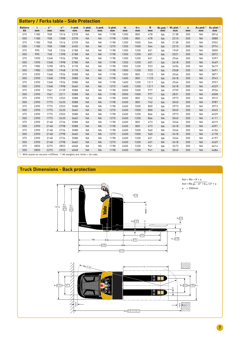|                      | <b>Battery / Forks table - Side Protection</b> |                                                                            |                       |                           |                            |                           |                            |          |                       |         |           |                                |                    |                               |                                |
|----------------------|------------------------------------------------|----------------------------------------------------------------------------|-----------------------|---------------------------|----------------------------|---------------------------|----------------------------|----------|-----------------------|---------|-----------|--------------------------------|--------------------|-------------------------------|--------------------------------|
| <b>Battery</b><br>Ah | $\mathbf{L}$<br>mm                             | $\mathbf{x}^{(1)}$<br>mm                                                   | ${\bf y}^{(2)}$<br>mm | I <sub>1</sub> ped.<br>mm | I <sub>1</sub> plat.<br>mm | l <sub>2</sub> ped.<br>mm | l <sub>2</sub> plat.<br>mm | l6<br>mm | b <sub>12</sub><br>mm | R<br>mm | mm        | Wa ped. (1) Wa plat. (1)<br>mm | $\mathsf{a}$<br>mm | Ast ped. <sup>(1)</sup><br>mm | Ast plat. <sup>(1)</sup><br>mm |
| 375                  | 1180                                           | 938                                                                        | 1516                  | 2378                      | <b>NA</b>                  | <b>NA</b>                 | 1198                       | 1200     | 800                   | 478     | <b>NA</b> | 2138                           | 200                | <b>NA</b>                     | 2816                           |
| 500                  | 1180                                           | 938                                                                        | 1588                  | 2378                      | <b>NA</b>                  | <b>NA</b>                 | 1198                       | 1200     | 800                   | 478     | <b>NA</b> | 2210                           | 200                | <b>NA</b>                     | 2888                           |
| 375                  | 1180                                           | 938                                                                        | 1516                  | 2378                      | <b>NA</b>                  | <b>NA</b>                 | 1198                       | 1200     | 1000                  | 564     | <b>NA</b> | 2138                           | 200                | <b>NA</b>                     | 2902                           |
| 500                  | 1180                                           | 938                                                                        | 1588                  | 2450                      | <b>NA</b>                  | <b>NA</b>                 | 1270                       | 1200     | 1000                  | 564     | <b>NA</b> | 2210                           | 200                | <b>NA</b>                     | 2974                           |
| 375                  | 990                                            | 748                                                                        | 1326                  | 2188                      | <b>NA</b>                  | <b>NA</b>                 | 1198                       | 1200     | 1200                  | 651     | <b>NA</b> | 1949                           | 200                | <b>NA</b>                     | 2800                           |
| 500                  | 990                                            | 748                                                                        | 1398                  | 2188                      | <b>NA</b>                  | <b>NA</b>                 | 1198                       | 1200     | 1200                  | 651     | <b>NA</b> | 2021                           | 200                | <b>NA</b>                     | 2872                           |
| 375                  | 1590                                           | 1348                                                                       | 1926                  | 2788                      | <b>NA</b>                  | <b>NA</b>                 | 1198                       | 1200     | 1200                  | 651     | <b>NA</b> | 2546                           | 200                | <b>NA</b>                     | 3397                           |
| 500                  | 1590                                           | 1348                                                                       | 1998                  | 2788                      | <b>NA</b>                  | <b>NA</b>                 | 1198                       | 1200     | 1200                  | 651     | <b>NA</b> | 2618                           | 200                | <b>NA</b>                     | 3469                           |
| 375                  | 1980                                           | 1298                                                                       | 1876                  | 3178                      | <b>NA</b>                  | <b>NA</b>                 | 1198                       | 1000     | 1200                  | 923     | <b>NA</b> | 2496                           | 200                | <b>NA</b>                     | 3619                           |
| 500                  | 1980                                           | 1298                                                                       | 1948                  | 3178                      | <b>NA</b>                  | <b>NA</b>                 | 1198                       | 1000     | 1200                  | 923     | <b>NA</b> | 2568                           | 200                | <b>NA</b>                     | 3691                           |
| 375                  | 2390                                           | 1348                                                                       | 1926                  | 3588                      | <b>NA</b>                  | <b>NA</b>                 | 1198                       | 1000     | 800                   | 1125    | <b>NA</b> | 2546                           | 200                | <b>NA</b>                     | 3871                           |
| 500                  | 2390                                           | 1348                                                                       | 1998                  | 3588                      | <b>NA</b>                  | <b>NA</b>                 | 1198                       | 1600     | 800                   | 1125    | <b>NA</b> | 2618                           | 200                | <b>NA</b>                     | 3943                           |
| 375                  | 2390                                           | 1348                                                                       | 1926                  | 3588                      | <b>NA</b>                  | <b>NA</b>                 | 1198                       | 1600     | 1200                  | 1211    | <b>NA</b> | 2546                           | 200                | <b>NA</b>                     | 3957                           |
| 500                  | 2390                                           | 1348                                                                       | 1998                  | 3660                      | <b>NA</b>                  | <b>NA</b>                 | 1270                       | 1600     | 1200                  | 1211    | <b>NA</b> | 2618                           | 200                | <b>NA</b>                     | 4029                           |
| 375                  | 2390                                           | 1561                                                                       | 2139                  | 3588                      | <b>NA</b>                  | <b>NA</b>                 | 1198                       | 2000     | 1000                  | 977     | <b>NA</b> | 2759                           | 200                | <b>NA</b>                     | 3936                           |
| 500                  | 2390                                           | 1561                                                                       | 2211                  | 3588                      | <b>NA</b>                  | <b>NA</b>                 | 1198                       | 2000     | 1000                  | 977     | <b>NA</b> | 2831                           | 200                | <b>NA</b>                     | 4008                           |
| 375                  | 2390                                           | 1775                                                                       | 2353                  | 3588                      | <b>NA</b>                  | <b>NA</b>                 | 1198                       | 2000     | 800                   | 742     | <b>NA</b> | 2973                           | 200                | <b>NA</b>                     | 3915                           |
| 500                  | 2390                                           | 1775                                                                       | 2425                  | 3588                      | <b>NA</b>                  | <b>NA</b>                 | 1198                       | 2400     | 800                   | 742     | <b>NA</b> | 3045                           | 200                | <b>NA</b>                     | 3987                           |
| 375                  | 2390                                           | 1775                                                                       | 2353                  | 3588                      | <b>NA</b>                  | <b>NA</b>                 | 1198                       | 2400     | 1000                  | 800     | <b>NA</b> | 2973                           | 200                | <b>NA</b>                     | 3973                           |
| 500                  | 2390                                           | 1775                                                                       | 2425                  | 3660                      | <b>NA</b>                  | <b>NA</b>                 | 1270                       | 2400     | 1000                  | 800     | <b>NA</b> | 3045                           | 200                | <b>NA</b>                     | 4045                           |
| 375                  | 2390                                           | 1775                                                                       | 2353                  | 3588                      | <b>NA</b>                  | <b>NA</b>                 | 1198                       | 2400     | 1200                  | 866     | <b>NA</b> | 2973                           | 200                | <b>NA</b>                     | 4039                           |
| 500                  | 2390                                           | 1775                                                                       | 2425                  | 3660                      | <b>NA</b>                  | <b>NA</b>                 | 1270                       | 2400     | 1200                  | 866     | <b>NA</b> | 3045                           | 200                | <b>NA</b>                     | 4111                           |
| 375                  | 2390                                           | 2148                                                                       | 2726                  | 3588                      | <b>NA</b>                  | <b>NA</b>                 | 1198                       | 2400     | 800                   | 473     | <b>NA</b> | 3346                           | 200                | <b>NA</b>                     | 4019                           |
| 500                  | 2390                                           | 2148                                                                       | 2798                  | 3588                      | <b>NA</b>                  | <b>NA</b>                 | 1198                       | 2400     | 800                   | 473     | <b>NA</b> | 3418                           | 200                | <b>NA</b>                     | 4091                           |
| 375                  | 2390                                           | 2148                                                                       | 2726                  | 3588                      | <b>NA</b>                  | <b>NA</b>                 | 1198                       | 2400     | 1000                  | 560     | <b>NA</b> | 3346                           | 200                | <b>NA</b>                     | 4106                           |
| 500                  | 2390                                           | 2148                                                                       | 2798                  | 3660                      | <b>NA</b>                  | <b>NA</b>                 | 1270                       | 2400     | 1000                  | 560     | <b>NA</b> | 3418                           | 200                | <b>NA</b>                     | 4178                           |
| 375                  | 2390                                           | 2148                                                                       | 2726                  | 3588                      | <b>NA</b>                  | <b>NA</b>                 | 1198                       | 2400     | 1200                  | 651     | <b>NA</b> | 3346                           | 200                | <b>NA</b>                     | 4197                           |
| 500                  | 2390                                           | 2148                                                                       | 2798                  | 3660                      | <b>NA</b>                  | <b>NA</b>                 | 1270                       | 2400     | 1200                  | 651     | <b>NA</b> | 3418                           | 200                | <b>NA</b>                     | 4269                           |
| 375                  | 2850                                           | 2275                                                                       | 2853                  | 4048                      | <b>NA</b>                  | <b>NA</b>                 | 1198                       | 2400     | 1200                  | 941     | <b>NA</b> | 3473                           | 200                | <b>NA</b>                     | 4614                           |
| 500                  | 2850                                           | 2275                                                                       | 2925                  | 4048                      | <b>NA</b>                  | <b>NA</b>                 | 1198                       | 2400     | 1200                  | 941     | <b>NA</b> | 3545                           | 200                | <b>NA</b>                     | 4686                           |
|                      |                                                | (1) With stand-on version +439mm. $(2)$ All weights are: forks + tie rods. |                       |                           |                            |                           |                            |          |                       |         |           |                                |                    |                               |                                |

# **Truck Dimensions - Back protection**



 $-Ast$  4.34.1/4.34.2